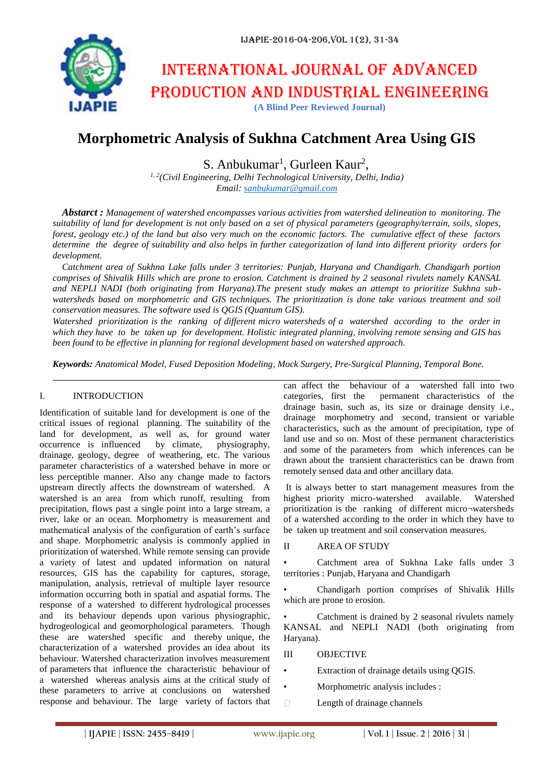

# International journal of advanced production and industrial engineering

**(A Blind Peer Reviewed Journal)**

# **Morphometric Analysis of Sukhna Catchment Area Using GIS**

S. Anbukumar<sup>1</sup>, Gurleen Kaur<sup>2</sup>,

*1, 2(Civil Engineering, Delhi Technological University, Delhi, India) Email: [sanbukumar@gmail.com](mailto:sanbukumar@gmail.com)*

*Abstarct : Management of watershed encompasses various activities from watershed delineation to monitoring. The suitability of land for development is not only based on a set of physical parameters (geography/terrain, soils, slopes, forest, geology etc.) of the land but also very much on the economic factors. The cumulative effect of these factors determine the degree of suitability and also helps in further categorization of land into different priority orders for development.* 

*Catchment area of Sukhna Lake falls under 3 territories: Punjab, Haryana and Chandigarh. Chandigarh portion comprises of Shivalik Hills which are prone to erosion. Catchment is drained by 2 seasonal rivulets namely KANSAL and NEPLI NADI (both originating from Haryana).The present study makes an attempt to prioritize Sukhna subwatersheds based on morphometric and GIS techniques. The prioritization is done take various treatment and soil conservation measures. The software used is QGIS (Quantum GIS).*

*Watershed prioritization is the ranking of different micro watersheds of a watershed according to the order in which they have to be taken up for development. Holistic integrated planning, involving remote sensing and GIS has been found to be effective in planning for regional development based on watershed approach.*

*Keywords: Anatomical Model, Fused Deposition Modeling, Mock Surgery, Pre-Surgical Planning, Temporal Bone.*

#### I. INTRODUCTION

Identification of suitable land for development is one of the critical issues of regional planning. The suitability of the land for development, as well as, for ground water<br>occurrence is influenced by climate, physiography, occurrence is influenced by climate, drainage, geology, degree of weathering, etc. The various parameter characteristics of a watershed behave in more or less perceptible manner. Also any change made to factors upstream directly affects the downstream of watershed. A watershed is an area from which runoff, resulting from precipitation, flows past a single point into a large stream, a river, lake or an ocean. Morphometry is measurement and mathematical analysis of the configuration of earth's surface and shape. Morphometric analysis is commonly applied in prioritization of watershed. While remote sensing can provide a variety of latest and updated information on natural resources, GIS has the capability for captures, storage, manipulation, analysis, retrieval of multiple layer resource information occurring both in spatial and aspatial forms. The response of a watershed to different hydrological processes and its behaviour depends upon various physiographic, hydrogeological and geomorphological parameters. Though these are watershed specific and thereby unique, the characterization of a watershed provides an idea about its behaviour. Watershed characterization involves measurement of parameters that influence the characteristic behaviour of a watershed whereas analysis aims at the critical study of these parameters to arrive at conclusions on watershed response and behaviour. The large variety of factors that

can affect the behaviour of a watershed fall into two categories, first the permanent characteristics of the drainage basin, such as, its size or drainage density i.e., drainage morphometry and second, transient or variable characteristics, such as the amount of precipitation, type of land use and so on. Most of these permanent characteristics and some of the parameters from which inferences can be drawn about the transient characteristics can be drawn from remotely sensed data and other ancillary data.

It is always better to start management measures from the highest priority micro-watershed available. Watershed prioritization is the ranking of different micro¬watersheds of a watershed according to the order in which they have to be taken up treatment and soil conservation measures.

#### II AREA OF STUDY

• Catchment area of Sukhna Lake falls under 3 territories : Punjab, Haryana and Chandigarh

• Chandigarh portion comprises of Shivalik Hills which are prone to erosion.

Catchment is drained by 2 seasonal rivulets namely KANSAL and NEPLI NADI (both originating from Haryana).

- III OBJECTIVE
- Extraction of drainage details using QGIS.
- Morphometric analysis includes :
- $\Box$ Length of drainage channels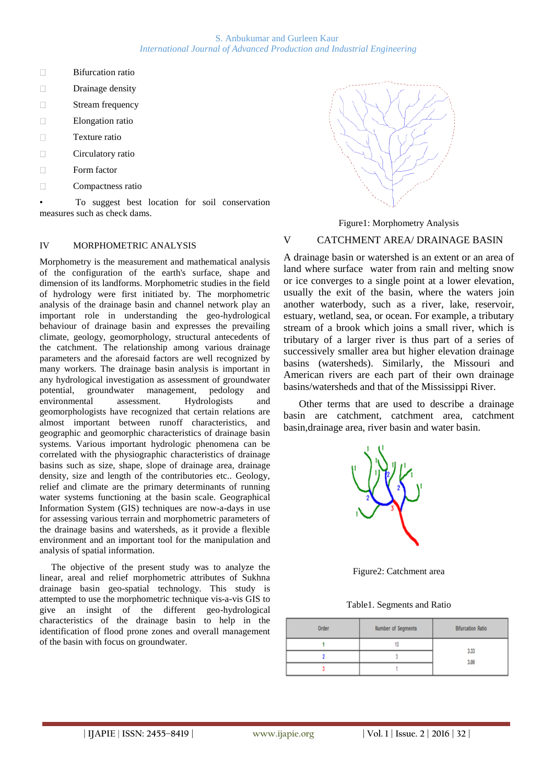S. Anbukumar and Gurleen Kaur *International Journal of Advanced Production and Industrial Engineering*

- $\Box$ Bifurcation ratio
- $\Box$ Drainage density
- $\Box$ Stream frequency
- $\Box$ Elongation ratio
- $\Box$ Texture ratio
- $\Box$ Circulatory ratio
- $\Box$ Form factor
- $\Box$ Compactness ratio

• To suggest best location for soil conservation measures such as check dams.

#### IV MORPHOMETRIC ANALYSIS

Morphometry is the measurement and mathematical analysis of the configuration of the earth's surface, shape and dimension of its landforms. Morphometric studies in the field of hydrology were first initiated by. The morphometric analysis of the drainage basin and channel network play an important role in understanding the geo-hydrological behaviour of drainage basin and expresses the prevailing climate, geology, geomorphology, structural antecedents of the catchment. The relationship among various drainage parameters and the aforesaid factors are well recognized by many workers. The drainage basin analysis is important in any hydrological investigation as assessment of groundwater potential, groundwater management, pedology and environmental assessment. Hydrologists and geomorphologists have recognized that certain relations are almost important between runoff characteristics, and geographic and geomorphic characteristics of drainage basin systems. Various important hydrologic phenomena can be correlated with the physiographic characteristics of drainage basins such as size, shape, slope of drainage area, drainage density, size and length of the contributories etc.. Geology, relief and climate are the primary determinants of running water systems functioning at the basin scale. Geographical Information System (GIS) techniques are now-a-days in use for assessing various terrain and morphometric parameters of the drainage basins and watersheds, as it provide a flexible environment and an important tool for the manipulation and analysis of spatial information.

 The objective of the present study was to analyze the linear, areal and relief morphometric attributes of Sukhna drainage basin geo-spatial technology. This study is attempted to use the morphometric technique vis-a-vis GIS to give an insight of the different geo-hydrological characteristics of the drainage basin to help in the identification of flood prone zones and overall management of the basin with focus on groundwater.



Figure1: Morphometry Analysis

### V CATCHMENT AREA/ DRAINAGE BASIN

A drainage basin or watershed is an extent or an area of land where surface water from rain and melting snow or ice converges to a single point at a lower elevation, usually the exit of the basin, where the waters join another waterbody, such as a river, lake, reservoir, estuary, wetland, sea, or ocean. For example, a tributary stream of a brook which joins a small river, which is tributary of a larger river is thus part of a series of successively smaller area but higher elevation drainage basins (watersheds). Similarly, the Missouri and American rivers are each part of their own drainage basins/watersheds and that of the Mississippi River.

 Other terms that are used to describe a drainage basin are catchment, catchment area, catchment basin,drainage area, river basin and water basin.



Figure2: Catchment area

Table1. Segments and Ratio

| Order | Number of Segments | <b>Bifurcation Ratio</b> |  |  |
|-------|--------------------|--------------------------|--|--|
|       |                    |                          |  |  |
|       |                    | 3.33<br>3.00             |  |  |
|       |                    |                          |  |  |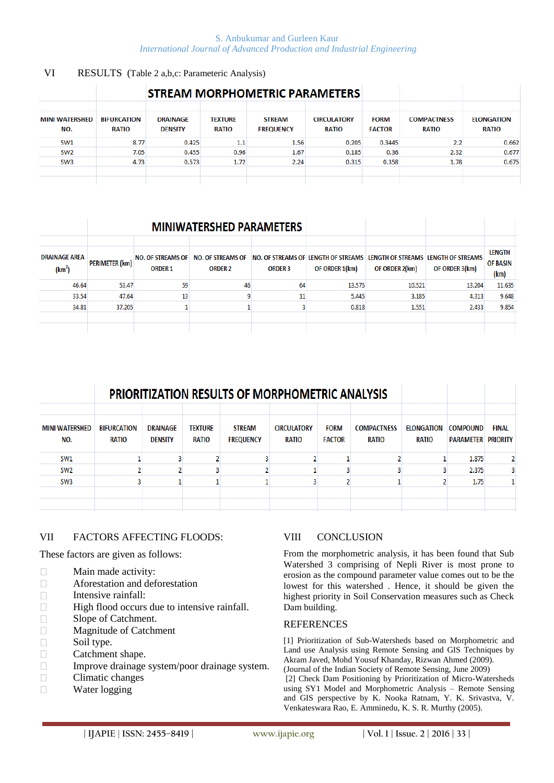#### S. Anbukumar and Gurleen Kaur *International Journal of Advanced Production and Industrial Engineering*

#### VI RESULTS (Table 2 a,b,c: Parameteric Analysis)

|                              |                                    |                                   |                                | <b>STREAM MORPHOMETRIC PARAMETERS</b> |                                    |                              |                                    |                                   |
|------------------------------|------------------------------------|-----------------------------------|--------------------------------|---------------------------------------|------------------------------------|------------------------------|------------------------------------|-----------------------------------|
| <b>MINI WATERSHED</b><br>NO. | <b>BIFURCATION</b><br><b>RATIO</b> | <b>DRAINAGE</b><br><b>DENSITY</b> | <b>TEXTURE</b><br><b>RATIO</b> | <b>STREAM</b><br><b>FREQUENCY</b>     | <b>CIRCULATORY</b><br><b>RATIO</b> | <b>FORM</b><br><b>FACTOR</b> | <b>COMPACTNESS</b><br><b>RATIO</b> | <b>ELONGATION</b><br><b>RATIO</b> |
| SW1                          | 8.77                               | 0.425                             | $1.1\,$                        | 1.56                                  | 0.205                              | 0.3445                       | 2.2                                | 0.662                             |
| SW <sub>2</sub>              | 7.05                               | 0.455                             | 0.96                           | 1.67                                  | 0.185                              | 0.36                         | 2.32                               | 0.677                             |
| SW <sub>3</sub>              | 4.73                               | 0.573                             | 1.72                           | 2.24                                  | 0.315                              | 0.358                        | 1.78                               | 0.675                             |
|                              |                                    |                                   |                                |                                       |                                    |                              |                                    |                                   |
|                              |                                    |                                   |                                |                                       |                                    |                              |                                    |                                   |

# **MINIWATERSHED PARAMETERS**

| <b>DRAINAGE AREA</b><br>(km <sup>2</sup> ) | <b>PERIMETER (km)</b> | <b>NO. OF STREAMS OF</b><br><b>ORDER 1</b> | <b>NO. OF STREAMS OF</b><br><b>ORDER 2</b> | <b>ORDER 3</b> | OF ORDER 1(km) | NO. OF STREAMS OF LENGTH OF STREAMS LENGTH OF STREAMS LENGTH OF STREAMS<br>OF ORDER 2(km) | OF ORDER 3(km) | <b>LENGTH</b><br><b>OF BASIN</b><br>(km) |
|--------------------------------------------|-----------------------|--------------------------------------------|--------------------------------------------|----------------|----------------|-------------------------------------------------------------------------------------------|----------------|------------------------------------------|
| 46.64                                      | 53.47                 | 59                                         | 46                                         | 64             | 13.575         | 10.521                                                                                    | 13.204         | 11.635                                   |
| 33.54                                      | 47.64                 | 13                                         |                                            | 11             | 5.445          | 3.185                                                                                     | 4.313          | 9.648                                    |
| 34.81                                      | 37.205                |                                            |                                            |                | 0.818          | 1.551                                                                                     | 2.433          | 9.854                                    |
|                                            |                       |                                            |                                            |                |                |                                                                                           |                |                                          |
|                                            |                       |                                            |                                            |                |                |                                                                                           |                |                                          |

|                              |                             | <b>PRIORITIZATION RESULTS OF MORPHOMETRIC ANALYSIS</b> |                                |                                   |                             |                              |                             |                            |                                     |                                 |
|------------------------------|-----------------------------|--------------------------------------------------------|--------------------------------|-----------------------------------|-----------------------------|------------------------------|-----------------------------|----------------------------|-------------------------------------|---------------------------------|
| <b>MINI WATERSHED</b><br>NO. | <b>BIFURCATION</b><br>RATIO | <b>DRAINAGE</b><br><b>DENSITY</b>                      | <b>TEXTURE</b><br><b>RATIO</b> | <b>STREAM</b><br><b>FREQUENCY</b> | <b>CIRCULATORY</b><br>RATIO | <b>FORM</b><br><b>FACTOR</b> | <b>COMPACTNESS</b><br>RATIO | <b>ELONGATION</b><br>RATIO | <b>COMPOUND</b><br><b>PARAMETER</b> | <b>FINAL</b><br><b>PRIORITY</b> |
| SW1                          |                             |                                                        |                                |                                   |                             |                              |                             |                            | 1.875                               |                                 |
| SW <sub>2</sub>              |                             |                                                        |                                |                                   |                             |                              |                             |                            | 2.375                               |                                 |
| SW <sub>3</sub>              |                             |                                                        |                                |                                   |                             |                              |                             |                            | 1.75                                |                                 |
|                              |                             |                                                        |                                |                                   |                             |                              |                             |                            |                                     |                                 |
|                              |                             |                                                        |                                |                                   |                             |                              |                             |                            |                                     |                                 |

# VII FACTORS AFFECTING FLOODS:

These factors are given as follows:

- $\Box$ Main made activity:
- $\Box$ Aforestation and deforestation
- $\Box$ Intensive rainfall:
- $\Box$ High flood occurs due to intensive rainfall.
- $\Box$ Slope of Catchment.
- $\Box$ Magnitude of Catchment
- $\Box$ Soil type.
- $\Box$ Catchment shape.
- $\Box$ Improve drainage system/poor drainage system.
- $\Box$ Climatic changes
- $\Box$ Water logging

# VIII CONCLUSION

From the morphometric analysis, it has been found that Sub Watershed 3 comprising of Nepli River is most prone to erosion as the compound parameter value comes out to be the lowest for this watershed . Hence, it should be given the highest priority in Soil Conservation measures such as Check Dam building.

#### **REFERENCES**

[1] Prioritization of Sub-Watersheds based on Morphometric and Land use Analysis using Remote Sensing and GIS Techniques by Akram Javed, Mohd Yousuf Khanday, Rizwan Ahmed (2009). (Journal of the Indian Society of Remote Sensing, June 2009)

[2] Check Dam Positioning by Prioritization of Micro-Watersheds using SY1 Model and Morphometric Analysis – Remote Sensing and GIS perspective by K. Nooka Ratnam, Y. K. Srivastva, V. Venkateswara Rao, E. Amminedu, K. S. R. Murthy (2005).